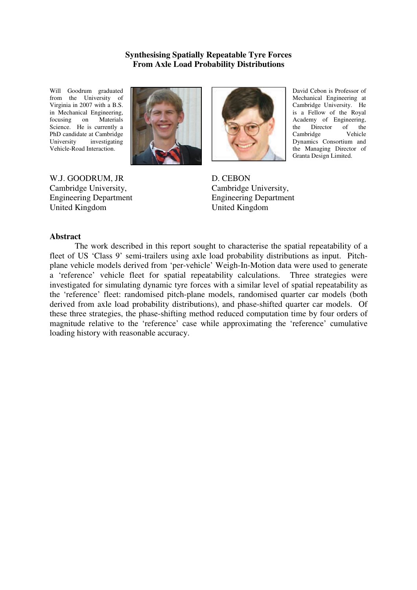# **Synthesising Spatially Repeatable Tyre Forces From Axle Load Probability Distributions**

Will Goodrum graduated from the University of Virginia in 2007 with a B.S. in Mechanical Engineering, focusing on Materials Science. He is currently a PhD candidate at Cambridge University investigating Vehicle-Road Interaction.



W.J. GOODRUM, JR Cambridge University, Engineering Department United Kingdom



David Cebon is Professor of Mechanical Engineering at Cambridge University. He is a Fellow of the Royal Academy of Engineering, the Director of the<br>Cambridge Vehicle Cambridge Dynamics Consortium and the Managing Director of Granta Design Limited.

D. CEBON Cambridge University, Engineering Department United Kingdom

## **Abstract**

 The work described in this report sought to characterise the spatial repeatability of a fleet of US 'Class 9' semi-trailers using axle load probability distributions as input. Pitchplane vehicle models derived from 'per-vehicle' Weigh-In-Motion data were used to generate a 'reference' vehicle fleet for spatial repeatability calculations. Three strategies were investigated for simulating dynamic tyre forces with a similar level of spatial repeatability as the 'reference' fleet: randomised pitch-plane models, randomised quarter car models (both derived from axle load probability distributions), and phase-shifted quarter car models. Of these three strategies, the phase-shifting method reduced computation time by four orders of magnitude relative to the 'reference' case while approximating the 'reference' cumulative loading history with reasonable accuracy.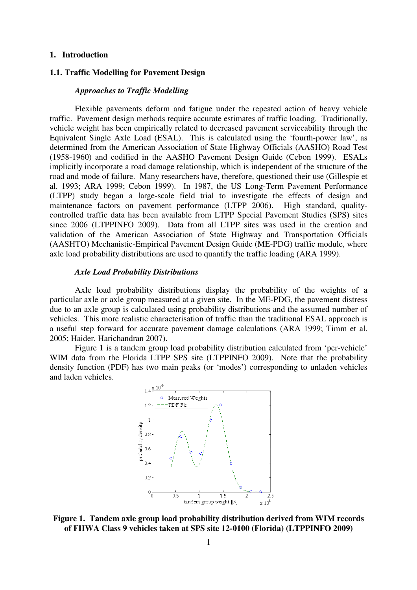# **1. Introduction**

# **1.1. Traffic Modelling for Pavement Design**

### *Approaches to Traffic Modelling*

Flexible pavements deform and fatigue under the repeated action of heavy vehicle traffic. Pavement design methods require accurate estimates of traffic loading. Traditionally, vehicle weight has been empirically related to decreased pavement serviceability through the Equivalent Single Axle Load (ESAL). This is calculated using the 'fourth-power law', as determined from the American Association of State Highway Officials (AASHO) Road Test (1958-1960) and codified in the AASHO Pavement Design Guide (Cebon 1999). ESALs implicitly incorporate a road damage relationship, which is independent of the structure of the road and mode of failure. Many researchers have, therefore, questioned their use (Gillespie et al. 1993; ARA 1999; Cebon 1999). In 1987, the US Long-Term Pavement Performance (LTPP) study began a large-scale field trial to investigate the effects of design and maintenance factors on pavement performance (LTPP 2006). High standard, qualitycontrolled traffic data has been available from LTPP Special Pavement Studies (SPS) sites since 2006 (LTPPINFO 2009). Data from all LTPP sites was used in the creation and validation of the American Association of State Highway and Transportation Officials (AASHTO) Mechanistic-Empirical Pavement Design Guide (ME-PDG) traffic module, where axle load probability distributions are used to quantify the traffic loading (ARA 1999).

#### *Axle Load Probability Distributions*

Axle load probability distributions display the probability of the weights of a particular axle or axle group measured at a given site. In the ME-PDG, the pavement distress due to an axle group is calculated using probability distributions and the assumed number of vehicles. This more realistic characterisation of traffic than the traditional ESAL approach is a useful step forward for accurate pavement damage calculations (ARA 1999; Timm et al. 2005; Haider, Harichandran 2007).

Figure 1 is a tandem group load probability distribution calculated from 'per-vehicle' WIM data from the Florida LTPP SPS site (LTPPINFO 2009). Note that the probability density function (PDF) has two main peaks (or 'modes') corresponding to unladen vehicles and laden vehicles.



**Figure 1. Tandem axle group load probability distribution derived from WIM records of FHWA Class 9 vehicles taken at SPS site 12-0100 (Florida) (LTPPINFO 2009)**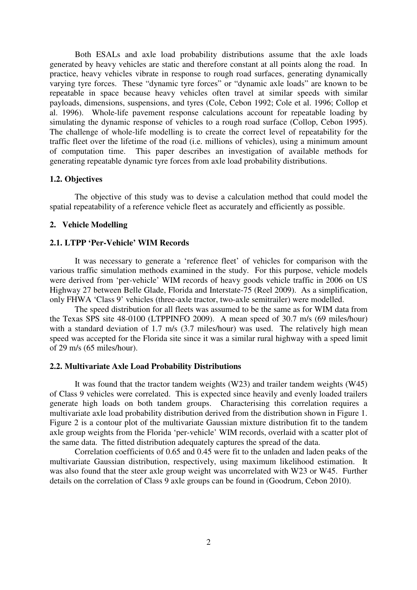Both ESALs and axle load probability distributions assume that the axle loads generated by heavy vehicles are static and therefore constant at all points along the road. In practice, heavy vehicles vibrate in response to rough road surfaces, generating dynamically varying tyre forces. These "dynamic tyre forces" or "dynamic axle loads" are known to be repeatable in space because heavy vehicles often travel at similar speeds with similar payloads, dimensions, suspensions, and tyres (Cole, Cebon 1992; Cole et al. 1996; Collop et al. 1996). Whole-life pavement response calculations account for repeatable loading by simulating the dynamic response of vehicles to a rough road surface (Collop, Cebon 1995). The challenge of whole-life modelling is to create the correct level of repeatability for the traffic fleet over the lifetime of the road (i.e. millions of vehicles), using a minimum amount of computation time. This paper describes an investigation of available methods for generating repeatable dynamic tyre forces from axle load probability distributions.

# **1.2. Objectives**

The objective of this study was to devise a calculation method that could model the spatial repeatability of a reference vehicle fleet as accurately and efficiently as possible.

## **2. Vehicle Modelling**

# **2.1. LTPP 'Per-Vehicle' WIM Records**

It was necessary to generate a 'reference fleet' of vehicles for comparison with the various traffic simulation methods examined in the study. For this purpose, vehicle models were derived from 'per-vehicle' WIM records of heavy goods vehicle traffic in 2006 on US Highway 27 between Belle Glade, Florida and Interstate-75 (Reel 2009). As a simplification, only FHWA 'Class 9' vehicles (three-axle tractor, two-axle semitrailer) were modelled.

The speed distribution for all fleets was assumed to be the same as for WIM data from the Texas SPS site 48-0100 (LTPPINFO 2009). A mean speed of 30.7 m/s (69 miles/hour) with a standard deviation of 1.7 m/s (3.7 miles/hour) was used. The relatively high mean speed was accepted for the Florida site since it was a similar rural highway with a speed limit of 29 m/s (65 miles/hour).

## **2.2. Multivariate Axle Load Probability Distributions**

It was found that the tractor tandem weights (W23) and trailer tandem weights (W45) of Class 9 vehicles were correlated. This is expected since heavily and evenly loaded trailers generate high loads on both tandem groups. Characterising this correlation requires a multivariate axle load probability distribution derived from the distribution shown in Figure 1. Figure 2 is a contour plot of the multivariate Gaussian mixture distribution fit to the tandem axle group weights from the Florida 'per-vehicle' WIM records, overlaid with a scatter plot of the same data. The fitted distribution adequately captures the spread of the data.

Correlation coefficients of 0.65 and 0.45 were fit to the unladen and laden peaks of the multivariate Gaussian distribution, respectively, using maximum likelihood estimation. It was also found that the steer axle group weight was uncorrelated with W23 or W45. Further details on the correlation of Class 9 axle groups can be found in (Goodrum, Cebon 2010).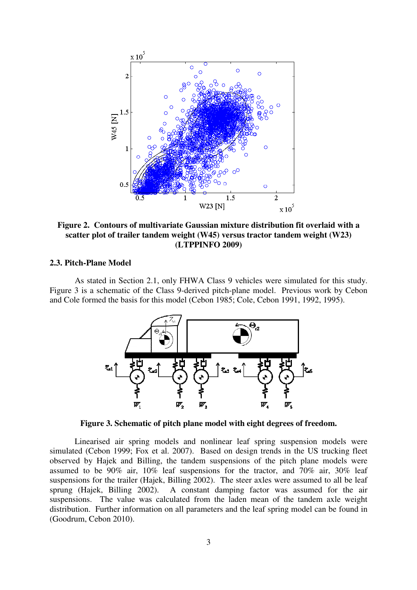

**Figure 2. Contours of multivariate Gaussian mixture distribution fit overlaid with a scatter plot of trailer tandem weight (W45) versus tractor tandem weight (W23) (LTPPINFO 2009)** 

### **2.3. Pitch-Plane Model**

As stated in Section 2.1, only FHWA Class 9 vehicles were simulated for this study. Figure 3 is a schematic of the Class 9-derived pitch-plane model. Previous work by Cebon and Cole formed the basis for this model (Cebon 1985; Cole, Cebon 1991, 1992, 1995).



**Figure 3. Schematic of pitch plane model with eight degrees of freedom.** 

Linearised air spring models and nonlinear leaf spring suspension models were simulated (Cebon 1999; Fox et al. 2007). Based on design trends in the US trucking fleet observed by Hajek and Billing, the tandem suspensions of the pitch plane models were assumed to be 90% air, 10% leaf suspensions for the tractor, and 70% air, 30% leaf suspensions for the trailer (Hajek, Billing 2002). The steer axles were assumed to all be leaf sprung (Hajek, Billing 2002). A constant damping factor was assumed for the air suspensions. The value was calculated from the laden mean of the tandem axle weight distribution. Further information on all parameters and the leaf spring model can be found in (Goodrum, Cebon 2010).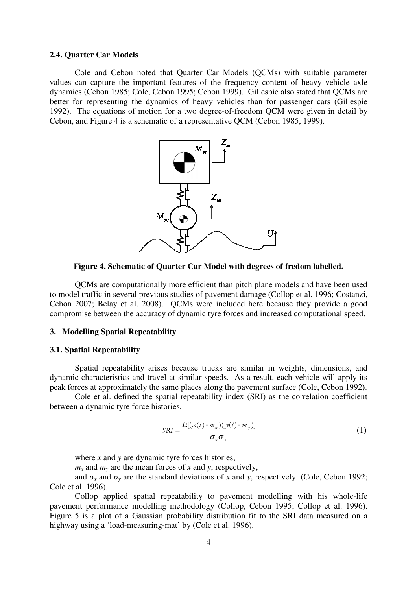### **2.4. Quarter Car Models**

Cole and Cebon noted that Quarter Car Models (QCMs) with suitable parameter values can capture the important features of the frequency content of heavy vehicle axle dynamics (Cebon 1985; Cole, Cebon 1995; Cebon 1999). Gillespie also stated that QCMs are better for representing the dynamics of heavy vehicles than for passenger cars (Gillespie 1992). The equations of motion for a two degree-of-freedom QCM were given in detail by Cebon, and Figure 4 is a schematic of a representative QCM (Cebon 1985, 1999).



**Figure 4. Schematic of Quarter Car Model with degrees of fredom labelled.** 

QCMs are computationally more efficient than pitch plane models and have been used to model traffic in several previous studies of pavement damage (Collop et al. 1996; Costanzi, Cebon 2007; Belay et al. 2008). QCMs were included here because they provide a good compromise between the accuracy of dynamic tyre forces and increased computational speed.

# **3. Modelling Spatial Repeatability**

#### **3.1. Spatial Repeatability**

Spatial repeatability arises because trucks are similar in weights, dimensions, and dynamic characteristics and travel at similar speeds. As a result, each vehicle will apply its peak forces at approximately the same places along the pavement surface (Cole, Cebon 1992).

Cole et al. defined the spatial repeatability index (SRI) as the correlation coefficient between a dynamic tyre force histories,

$$
SRI = \frac{E[(x(t) - m_x)(y(t) - m_y)]}{\sigma_x \sigma_y}
$$
 (1)

where *x* and *y* are dynamic tyre forces histories,

 $m<sub>x</sub>$  and  $m<sub>y</sub>$  are the mean forces of *x* and *y*, respectively,

and  $\sigma_x$  and  $\sigma_y$  are the standard deviations of *x* and *y*, respectively (Cole, Cebon 1992; Cole et al. 1996).

Collop applied spatial repeatability to pavement modelling with his whole-life pavement performance modelling methodology (Collop, Cebon 1995; Collop et al. 1996). Figure 5 is a plot of a Gaussian probability distribution fit to the SRI data measured on a highway using a 'load-measuring-mat' by (Cole et al. 1996).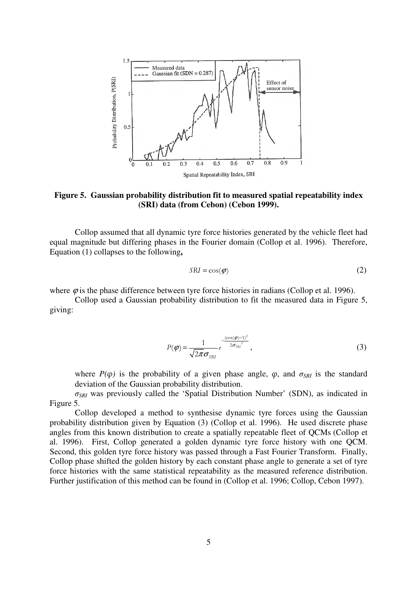

**Figure 5. Gaussian probability distribution fit to measured spatial repeatability index (SRI) data (from Cebon) (Cebon 1999).** 

Collop assumed that all dynamic tyre force histories generated by the vehicle fleet had equal magnitude but differing phases in the Fourier domain (Collop et al. 1996). Therefore, Equation (1) collapses to the following**,** 

$$
SRI = \cos(\varphi) \tag{2}
$$

where  $\varphi$  is the phase difference between tyre force histories in radians (Collop et al. 1996).

Collop used a Gaussian probability distribution to fit the measured data in Figure 5, giving:

$$
P(\boldsymbol{\varphi}) = \frac{1}{\sqrt{2\pi}\sigma_{\text{SRI}}} e^{-\frac{(\cos(\boldsymbol{\varphi})-1)^2}{2\sigma_{\text{SRI}}^2}},
$$
\n(3)

where  $P(\varphi)$  is the probability of a given phase angle,  $\varphi$ , and  $\sigma_{SRI}$  is the standard deviation of the Gaussian probability distribution.

*σSRI* was previously called the 'Spatial Distribution Number' (SDN), as indicated in Figure 5.

Collop developed a method to synthesise dynamic tyre forces using the Gaussian probability distribution given by Equation (3) (Collop et al. 1996). He used discrete phase angles from this known distribution to create a spatially repeatable fleet of QCMs (Collop et al. 1996). First, Collop generated a golden dynamic tyre force history with one QCM. Second, this golden tyre force history was passed through a Fast Fourier Transform. Finally, Collop phase shifted the golden history by each constant phase angle to generate a set of tyre force histories with the same statistical repeatability as the measured reference distribution. Further justification of this method can be found in (Collop et al. 1996; Collop, Cebon 1997).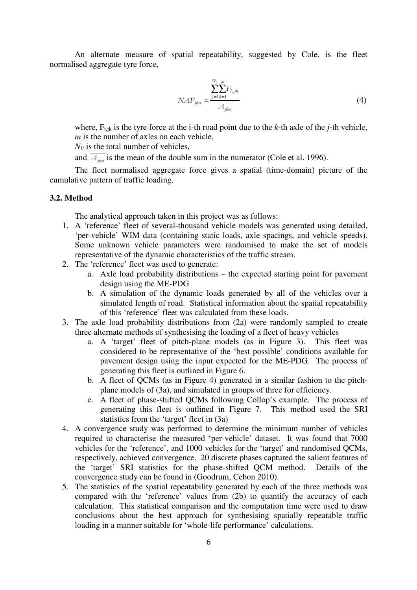An alternate measure of spatial repeatability, suggested by Cole, is the fleet normalised aggregate tyre force,

$$
NAF_{\text{flet}} = \frac{\sum_{j=1,k=1}^{N_r} F_{i,j,k}}{A_{\text{flet}}} \tag{4}
$$

where,  $F_{i,jk}$  is the tyre force at the *i*-th road point due to the *k*-th axle of the *j*-th vehicle, *m* is the number of axles on each vehicle,

 $N_V$  is the total number of vehicles,

and  $\overline{A_{\mu}^{}}$  is the mean of the double sum in the numerator (Cole et al. 1996).

The fleet normalised aggregate force gives a spatial (time-domain) picture of the cumulative pattern of traffic loading.

# **3.2. Method**

The analytical approach taken in this project was as follows:

- 1. A 'reference' fleet of several-thousand vehicle models was generated using detailed, 'per-vehicle' WIM data (containing static loads, axle spacings, and vehicle speeds). Some unknown vehicle parameters were randomised to make the set of models representative of the dynamic characteristics of the traffic stream.
- 2. The 'reference' fleet was used to generate:
	- a. Axle load probability distributions the expected starting point for pavement design using the ME-PDG
	- b. A simulation of the dynamic loads generated by all of the vehicles over a simulated length of road. Statistical information about the spatial repeatability of this 'reference' fleet was calculated from these loads.
- 3. The axle load probability distributions from (2a) were randomly sampled to create three alternate methods of synthesising the loading of a fleet of heavy vehicles
	- a. A 'target' fleet of pitch-plane models (as in Figure 3). This fleet was considered to be representative of the 'best possible' conditions available for pavement design using the input expected for the ME-PDG. The process of generating this fleet is outlined in Figure 6.
	- b. A fleet of QCMs (as in Figure 4) generated in a similar fashion to the pitchplane models of (3a), and simulated in groups of three for efficiency.
	- c. A fleet of phase-shifted QCMs following Collop's example. The process of generating this fleet is outlined in Figure 7. This method used the SRI statistics from the 'target' fleet in (3a)
- 4. A convergence study was performed to determine the minimum number of vehicles required to characterise the measured 'per-vehicle' dataset. It was found that 7000 vehicles for the 'reference', and 1000 vehicles for the 'target' and randomised QCMs, respectively, achieved convergence. 20 discrete phases captured the salient features of the 'target' SRI statistics for the phase-shifted QCM method. Details of the convergence study can be found in (Goodrum, Cebon 2010).
- 5. The statistics of the spatial repeatability generated by each of the three methods was compared with the 'reference' values from (2b) to quantify the accuracy of each calculation. This statistical comparison and the computation time were used to draw conclusions about the best approach for synthesising spatially repeatable traffic loading in a manner suitable for 'whole-life performance' calculations.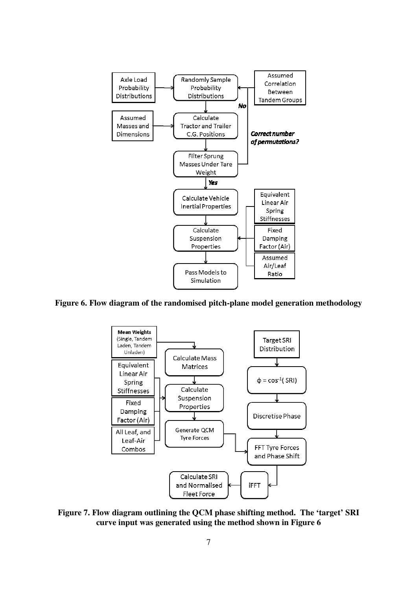

**Figure 6. Flow diagram of the randomised pitch-plane model generation methodology** 



**Figure 7. Flow diagram outlining the QCM phase shifting method. The 'target' SRI curve input was generated using the method shown in Figure 6**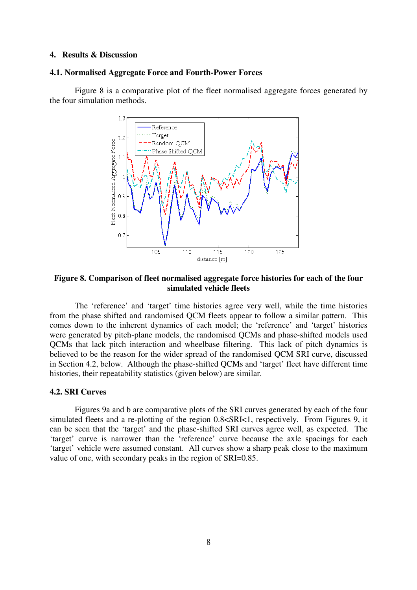# **4. Results & Discussion**

#### **4.1. Normalised Aggregate Force and Fourth-Power Forces**

Figure 8 is a comparative plot of the fleet normalised aggregate forces generated by the four simulation methods.



**Figure 8. Comparison of fleet normalised aggregate force histories for each of the four simulated vehicle fleets** 

The 'reference' and 'target' time histories agree very well, while the time histories from the phase shifted and randomised QCM fleets appear to follow a similar pattern. This comes down to the inherent dynamics of each model; the 'reference' and 'target' histories were generated by pitch-plane models, the randomised QCMs and phase-shifted models used QCMs that lack pitch interaction and wheelbase filtering. This lack of pitch dynamics is believed to be the reason for the wider spread of the randomised QCM SRI curve, discussed in Section 4.2, below. Although the phase-shifted QCMs and 'target' fleet have different time histories, their repeatability statistics (given below) are similar.

### **4.2. SRI Curves**

Figures 9a and b are comparative plots of the SRI curves generated by each of the four simulated fleets and a re-plotting of the region 0.8<SRI<1, respectively. From Figures 9, it can be seen that the 'target' and the phase-shifted SRI curves agree well, as expected. The 'target' curve is narrower than the 'reference' curve because the axle spacings for each 'target' vehicle were assumed constant. All curves show a sharp peak close to the maximum value of one, with secondary peaks in the region of SRI=0.85.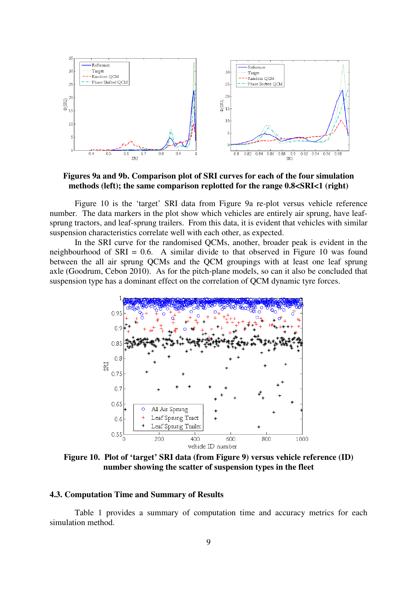

**Figures 9a and 9b. Comparison plot of SRI curves for each of the four simulation methods (left); the same comparison replotted for the range 0.8<SRI<1 (right)** 

Figure 10 is the 'target' SRI data from Figure 9a re-plot versus vehicle reference number. The data markers in the plot show which vehicles are entirely air sprung, have leafsprung tractors, and leaf-sprung trailers. From this data, it is evident that vehicles with similar suspension characteristics correlate well with each other, as expected.

In the SRI curve for the randomised QCMs, another, broader peak is evident in the neighbourhood of SRI = 0.6. A similar divide to that observed in Figure 10 was found between the all air sprung QCMs and the QCM groupings with at least one leaf sprung axle (Goodrum, Cebon 2010). As for the pitch-plane models, so can it also be concluded that suspension type has a dominant effect on the correlation of QCM dynamic tyre forces.



**Figure 10. Plot of 'target' SRI data (from Figure 9) versus vehicle reference (ID) number showing the scatter of suspension types in the fleet** 

# **4.3. Computation Time and Summary of Results**

Table 1 provides a summary of computation time and accuracy metrics for each simulation method.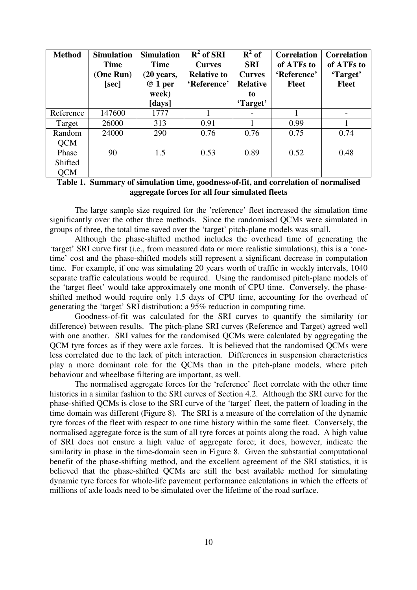| <b>Method</b>                  | <b>Simulation</b><br><b>Time</b><br>(One Run)<br>[sec] | <b>Simulation</b><br><b>Time</b><br>$(20 \text{ years},$<br>@ 1 per<br>week)<br>[days] | $\overline{R}^2$ of SRI<br><b>Curves</b><br><b>Relative to</b><br>'Reference' | $R^2$ of<br><b>SRI</b><br><b>Curves</b><br><b>Relative</b><br>to<br>'Target' | <b>Correlation</b><br>of ATFs to<br>'Reference'<br><b>Fleet</b> | <b>Correlation</b><br>of ATFs to<br>'Target'<br><b>Fleet</b> |
|--------------------------------|--------------------------------------------------------|----------------------------------------------------------------------------------------|-------------------------------------------------------------------------------|------------------------------------------------------------------------------|-----------------------------------------------------------------|--------------------------------------------------------------|
| Reference                      | 147600                                                 | 1777                                                                                   |                                                                               |                                                                              |                                                                 | $\overline{\phantom{a}}$                                     |
| Target                         | 26000                                                  | 313                                                                                    | 0.91                                                                          |                                                                              | 0.99                                                            |                                                              |
| Random<br><b>OCM</b>           | 24000                                                  | 290                                                                                    | 0.76                                                                          | 0.76                                                                         | 0.75                                                            | 0.74                                                         |
| Phase<br>Shifted<br><b>QCM</b> | 90                                                     | 1.5                                                                                    | 0.53                                                                          | 0.89                                                                         | 0.52                                                            | 0.48                                                         |

# **Table 1. Summary of simulation time, goodness-of-fit, and correlation of normalised aggregate forces for all four simulated fleets**

The large sample size required for the 'reference' fleet increased the simulation time significantly over the other three methods. Since the randomised QCMs were simulated in groups of three, the total time saved over the 'target' pitch-plane models was small.

Although the phase-shifted method includes the overhead time of generating the 'target' SRI curve first (i.e., from measured data or more realistic simulations), this is a 'onetime' cost and the phase-shifted models still represent a significant decrease in computation time. For example, if one was simulating 20 years worth of traffic in weekly intervals, 1040 separate traffic calculations would be required. Using the randomised pitch-plane models of the 'target fleet' would take approximately one month of CPU time. Conversely, the phaseshifted method would require only 1.5 days of CPU time, accounting for the overhead of generating the 'target' SRI distribution; a 95% reduction in computing time.

Goodness-of-fit was calculated for the SRI curves to quantify the similarity (or difference) between results. The pitch-plane SRI curves (Reference and Target) agreed well with one another. SRI values for the randomised OCMs were calculated by aggregating the QCM tyre forces as if they were axle forces. It is believed that the randomised QCMs were less correlated due to the lack of pitch interaction. Differences in suspension characteristics play a more dominant role for the QCMs than in the pitch-plane models, where pitch behaviour and wheelbase filtering are important, as well.

The normalised aggregate forces for the 'reference' fleet correlate with the other time histories in a similar fashion to the SRI curves of Section 4.2. Although the SRI curve for the phase-shifted QCMs is close to the SRI curve of the 'target' fleet, the pattern of loading in the time domain was different (Figure 8). The SRI is a measure of the correlation of the dynamic tyre forces of the fleet with respect to one time history within the same fleet. Conversely, the normalised aggregate force is the sum of all tyre forces at points along the road. A high value of SRI does not ensure a high value of aggregate force; it does, however, indicate the similarity in phase in the time-domain seen in Figure 8. Given the substantial computational benefit of the phase-shifting method, and the excellent agreement of the SRI statistics, it is believed that the phase-shifted QCMs are still the best available method for simulating dynamic tyre forces for whole-life pavement performance calculations in which the effects of millions of axle loads need to be simulated over the lifetime of the road surface.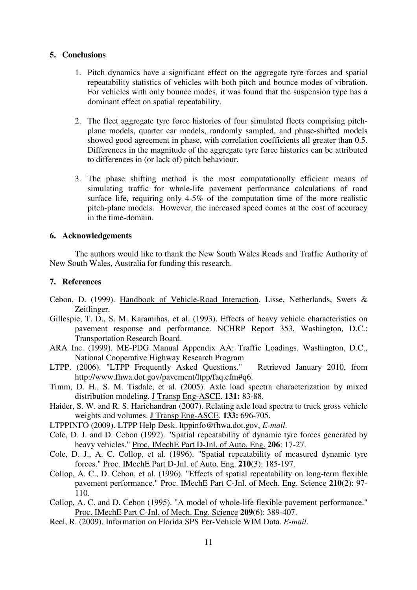## **5. Conclusions**

- 1. Pitch dynamics have a significant effect on the aggregate tyre forces and spatial repeatability statistics of vehicles with both pitch and bounce modes of vibration. For vehicles with only bounce modes, it was found that the suspension type has a dominant effect on spatial repeatability.
- 2. The fleet aggregate tyre force histories of four simulated fleets comprising pitchplane models, quarter car models, randomly sampled, and phase-shifted models showed good agreement in phase, with correlation coefficients all greater than 0.5. Differences in the magnitude of the aggregate tyre force histories can be attributed to differences in (or lack of) pitch behaviour.
- 3. The phase shifting method is the most computationally efficient means of simulating traffic for whole-life pavement performance calculations of road surface life, requiring only 4-5% of the computation time of the more realistic pitch-plane models. However, the increased speed comes at the cost of accuracy in the time-domain.

# **6. Acknowledgements**

The authors would like to thank the New South Wales Roads and Traffic Authority of New South Wales, Australia for funding this research.

## **7. References**

- Cebon, D. (1999). Handbook of Vehicle-Road Interaction. Lisse, Netherlands, Swets & Zeitlinger.
- Gillespie, T. D., S. M. Karamihas, et al. (1993). Effects of heavy vehicle characteristics on pavement response and performance. NCHRP Report 353, Washington, D.C.: Transportation Research Board.
- ARA Inc. (1999). ME-PDG Manual Appendix AA: Traffic Loadings. Washington, D.C., National Cooperative Highway Research Program
- LTPP. (2006). "LTPP Frequently Asked Questions." Retrieved January 2010, from http://www.fhwa.dot.gov/pavement/ltpp/faq.cfm#q6.
- Timm, D. H., S. M. Tisdale, et al. (2005). Axle load spectra characterization by mixed distribution modeling. J Transp Eng-ASCE. **131:** 83-88.
- Haider, S. W. and R. S. Harichandran (2007). Relating axle load spectra to truck gross vehicle weights and volumes. J Transp Eng-ASCE. **133:** 696-705.
- LTPPINFO (2009). LTPP Help Desk. ltppinfo@fhwa.dot.gov, *E-mail*.
- Cole, D. J. and D. Cebon (1992). "Spatial repeatability of dynamic tyre forces generated by heavy vehicles." Proc. IMechE Part D-Jnl. of Auto. Eng. **206**: 17-27.
- Cole, D. J., A. C. Collop, et al. (1996). "Spatial repeatability of measured dynamic tyre forces." Proc. IMechE Part D-Jnl. of Auto. Eng. **210**(3): 185-197.
- Collop, A. C., D. Cebon, et al. (1996). "Effects of spatial repeatability on long-term flexible pavement performance." Proc. IMechE Part C-Jnl. of Mech. Eng. Science **210**(2): 97- 110.
- Collop, A. C. and D. Cebon (1995). "A model of whole-life flexible pavement performance." Proc. IMechE Part C-Jnl. of Mech. Eng. Science **209**(6): 389-407.
- Reel, R. (2009). Information on Florida SPS Per-Vehicle WIM Data. *E-mail*.